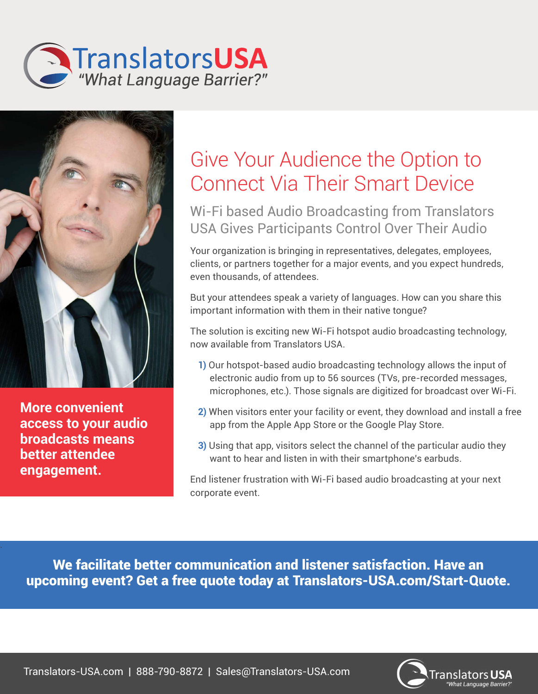



**More convenient access to your audio broadcasts means better attendee engagement.**

.

## Give Your Audience the Option to Connect Via Their Smart Device

## Wi-Fi based Audio Broadcasting from Translators USA Gives Participants Control Over Their Audio

Your organization is bringing in representatives, delegates, employees, clients, or partners together for a major events, and you expect hundreds, even thousands, of attendees.

But your attendees speak a variety of languages. How can you share this important information with them in their native tongue?

The solution is exciting new Wi-Fi hotspot audio broadcasting technology, now available from Translators USA.

- **1)** Our hotspot-based audio broadcasting technology allows the input of electronic audio from up to 56 sources (TVs, pre-recorded messages, microphones, etc.). Those signals are digitized for broadcast over Wi-Fi.
- **2)** When visitors enter your facility or event, they download and install a free app from the Apple App Store or the Google Play Store.
- **3)** Using that app, visitors select the channel of the particular audio they want to hear and listen in with their smartphone's earbuds.

End listener frustration with Wi-Fi based audio broadcasting at your next corporate event.

We facilitate better communication and listener satisfaction. Have an upcoming event? Get a free quote today at Translators-USA.com/Start-Quote.